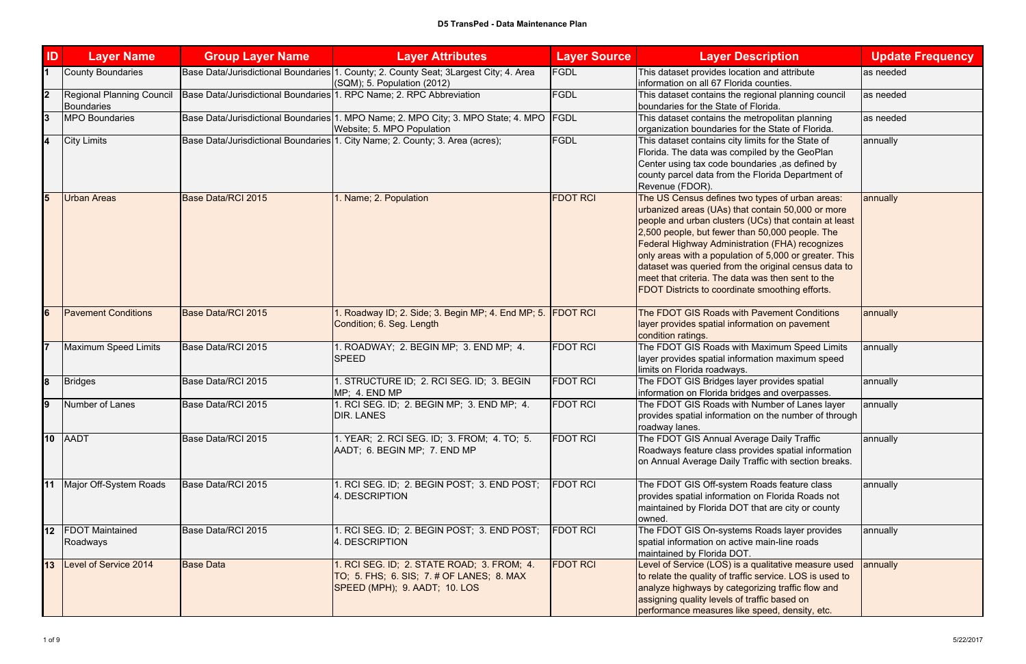| ID              | <b>Layer Name</b>                       | <b>Group Layer Name</b>                    | <b>Layer Attributes</b>                                                                                               | <b>Layer Source</b> | <b>Layer Description</b>                                                                                                                                                                                                                                                                                                                                                                                                                                                                                    | <b>Update Frequency</b> |
|-----------------|-----------------------------------------|--------------------------------------------|-----------------------------------------------------------------------------------------------------------------------|---------------------|-------------------------------------------------------------------------------------------------------------------------------------------------------------------------------------------------------------------------------------------------------------------------------------------------------------------------------------------------------------------------------------------------------------------------------------------------------------------------------------------------------------|-------------------------|
|                 | <b>County Boundaries</b>                | <b>Base Data/Jurisdictional Boundaries</b> | . County; 2. County Seat; 3Largest City; 4. Area<br>(SQM); 5. Population (2012)                                       | <b>FGDL</b>         | This dataset provides location and attribute<br>information on all 67 Florida counties.                                                                                                                                                                                                                                                                                                                                                                                                                     | as needed               |
|                 | Regional Planning Council<br>Boundaries | Base Data/Jurisdictional Boundaries        | RPC Name; 2. RPC Abbreviation                                                                                         | <b>FGDL</b>         | This dataset contains the regional planning council<br>boundaries for the State of Florida.                                                                                                                                                                                                                                                                                                                                                                                                                 | as needed               |
|                 | <b>MPO Boundaries</b>                   |                                            | Base Data/Jurisdictional Boundaries 1. MPO Name; 2. MPO City; 3. MPO State; 4. MPO<br>Website; 5. MPO Population      | <b>FGDL</b>         | This dataset contains the metropolitan planning<br>organization boundaries for the State of Florida.                                                                                                                                                                                                                                                                                                                                                                                                        | as needed               |
|                 | <b>City Limits</b>                      |                                            | Base Data/Jurisdictional Boundaries 1. City Name; 2. County; 3. Area (acres);                                         | <b>FGDL</b>         | This dataset contains city limits for the State of<br>Florida. The data was compiled by the GeoPlan<br>Center using tax code boundaries, as defined by<br>county parcel data from the Florida Department of<br>Revenue (FDOR).                                                                                                                                                                                                                                                                              | annually                |
|                 | <b>Urban Areas</b>                      | <b>Base Data/RCI 2015</b>                  | Name; 2. Population                                                                                                   | <b>FDOT RCI</b>     | The US Census defines two types of urban areas:<br>urbanized areas (UAs) that contain 50,000 or more<br>people and urban clusters (UCs) that contain at least<br>2,500 people, but fewer than 50,000 people. The<br><b>Federal Highway Administration (FHA) recognizes</b><br>only areas with a population of 5,000 or greater. This<br>dataset was queried from the original census data to<br>meet that criteria. The data was then sent to the<br><b>FDOT Districts to coordinate smoothing efforts.</b> | annually                |
|                 | <b>Pavement Conditions</b>              | <b>Base Data/RCI 2015</b>                  | Roadway ID; 2. Side; 3. Begin MP; 4. End MP; 5.<br>Condition; 6. Seg. Length                                          | <b>FDOT RCI</b>     | The FDOT GIS Roads with Pavement Conditions<br>layer provides spatial information on pavement<br>condition ratings.                                                                                                                                                                                                                                                                                                                                                                                         | annually                |
|                 | <b>Maximum Speed Limits</b>             | Base Data/RCI 2015                         | ROADWAY; 2. BEGIN MP; 3. END MP; 4.<br><b>SPEED</b>                                                                   | <b>FDOT RCI</b>     | The FDOT GIS Roads with Maximum Speed Limits<br>layer provides spatial information maximum speed<br>limits on Florida roadways.                                                                                                                                                                                                                                                                                                                                                                             | annually                |
| 8               | <b>Bridges</b>                          | Base Data/RCI 2015                         | STRUCTURE ID; 2. RCI SEG. ID; 3. BEGIN<br>MP; 4. END MP                                                               | <b>FDOT RCI</b>     | The FDOT GIS Bridges layer provides spatial<br>information on Florida bridges and overpasses.                                                                                                                                                                                                                                                                                                                                                                                                               | annually                |
| q               | Number of Lanes                         | Base Data/RCI 2015                         | . RCI SEG. ID; 2. BEGIN MP; 3. END MP; 4.<br><b>DIR. LANES</b>                                                        | <b>FDOT RCI</b>     | The FDOT GIS Roads with Number of Lanes layer<br>provides spatial information on the number of through<br>roadway lanes.                                                                                                                                                                                                                                                                                                                                                                                    | annually                |
| 10 <sub>1</sub> | <b>AADT</b>                             | Base Data/RCI 2015                         | 1. YEAR; 2. RCI SEG. ID; 3. FROM; 4. TO; 5.<br>AADT; 6. BEGIN MP; 7. END MP                                           | <b>FDOT RCI</b>     | The FDOT GIS Annual Average Daily Traffic<br>Roadways feature class provides spatial information<br>on Annual Average Daily Traffic with section breaks.                                                                                                                                                                                                                                                                                                                                                    | annually                |
|                 | 11 Major Off-System Roads               | Base Data/RCI 2015                         | RCI SEG. ID; 2. BEGIN POST; 3. END POST;<br>4. DESCRIPTION                                                            | <b>FDOT RCI</b>     | The FDOT GIS Off-system Roads feature class<br>provides spatial information on Florida Roads not<br>maintained by Florida DOT that are city or county<br>owned.                                                                                                                                                                                                                                                                                                                                             | annually                |
| 12 <sub>2</sub> | <b>FDOT Maintained</b><br>Roadways      | Base Data/RCI 2015                         | RCI SEG. ID; 2. BEGIN POST; 3. END POST;<br>4. DESCRIPTION                                                            | <b>FDOT RCI</b>     | The FDOT GIS On-systems Roads layer provides<br>spatial information on active main-line roads<br>maintained by Florida DOT.                                                                                                                                                                                                                                                                                                                                                                                 | annually                |
| 13              | Level of Service 2014                   | <b>Base Data</b>                           | RCI SEG. ID; 2. STATE ROAD; 3. FROM; 4.<br>TO; 5. FHS; 6. SIS; 7. # OF LANES; 8. MAX<br>SPEED (MPH); 9. AADT; 10. LOS | <b>FDOT RCI</b>     | Level of Service (LOS) is a qualitative measure used<br>to relate the quality of traffic service. LOS is used to<br>analyze highways by categorizing traffic flow and<br>assigning quality levels of traffic based on<br>performance measures like speed, density, etc.                                                                                                                                                                                                                                     | annually                |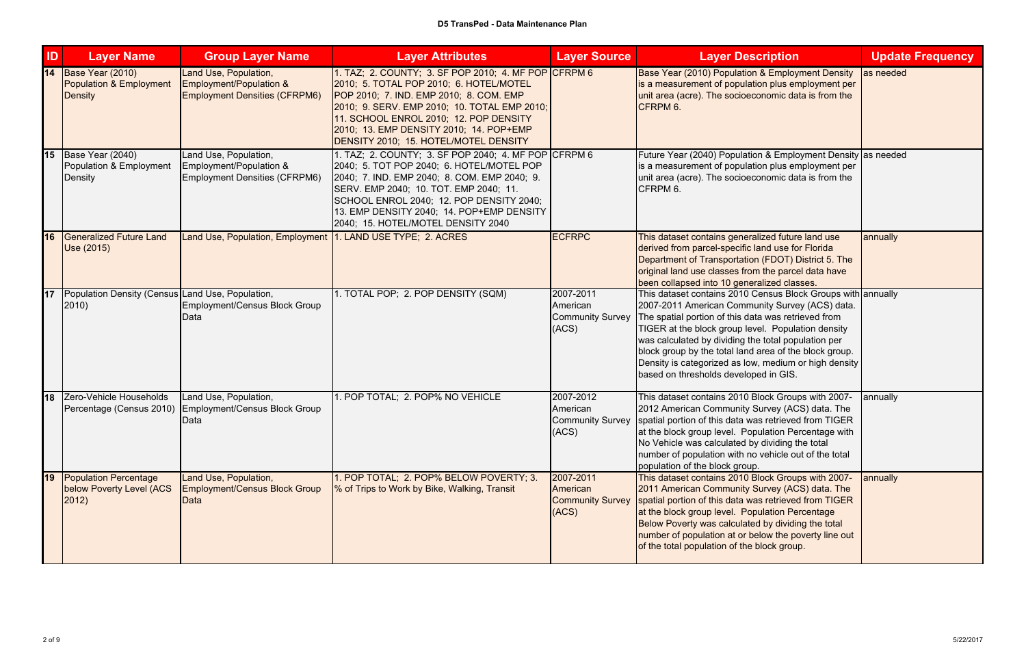| ID | <b>Layer Name</b>                                                 | <b>Group Layer Name</b>                                                                             | <b>Layer Attributes</b>                                                                                                                                                                                                                                                                                                    | <b>Layer Source</b>                                       | <b>Layer Description</b>                                                                                                                                                                                                                                                                                                                                                                                                                        | <b>Update Frequency</b> |
|----|-------------------------------------------------------------------|-----------------------------------------------------------------------------------------------------|----------------------------------------------------------------------------------------------------------------------------------------------------------------------------------------------------------------------------------------------------------------------------------------------------------------------------|-----------------------------------------------------------|-------------------------------------------------------------------------------------------------------------------------------------------------------------------------------------------------------------------------------------------------------------------------------------------------------------------------------------------------------------------------------------------------------------------------------------------------|-------------------------|
| 14 | Base Year (2010)<br>Population & Employment<br><b>Density</b>     | Land Use, Population,<br><b>Employment/Population &amp;</b><br><b>Employment Densities (CFRPM6)</b> | 1. TAZ; 2. COUNTY; 3. SF POP 2010; 4. MF POP CFRPM 6<br>2010; 5. TOTAL POP 2010; 6. HOTEL/MOTEL<br>POP 2010; 7. IND. EMP 2010; 8. COM. EMP<br>2010; 9. SERV. EMP 2010; 10. TOTAL EMP 2010;<br>11. SCHOOL ENROL 2010; 12. POP DENSITY<br>2010; 13. EMP DENSITY 2010; 14. POP+EMP<br>DENSITY 2010; 15. HOTEL/MOTEL DENSITY   |                                                           | Base Year (2010) Population & Employment Density<br>is a measurement of population plus employment per<br>unit area (acre). The socioeconomic data is from the<br>CFRPM 6.                                                                                                                                                                                                                                                                      | as needed               |
| 15 | Base Year (2040)<br>Population & Employment<br>Density            | Land Use, Population,<br>Employment/Population &<br>Employment Densities (CFRPM6)                   | 1. TAZ; 2. COUNTY; 3. SF POP 2040; 4. MF POP CFRPM 6<br>2040; 5. TOT POP 2040; 6. HOTEL/MOTEL POP<br>2040; 7. IND. EMP 2040; 8. COM. EMP 2040; 9.<br>SERV. EMP 2040; 10. TOT. EMP 2040; 11.<br>SCHOOL ENROL 2040; 12. POP DENSITY 2040;<br>13. EMP DENSITY 2040; 14. POP+EMP DENSITY<br>2040; 15. HOTEL/MOTEL DENSITY 2040 |                                                           | Future Year (2040) Population & Employment Density as needed<br>is a measurement of population plus employment per<br>unit area (acre). The socioeconomic data is from the<br>CFRPM 6.                                                                                                                                                                                                                                                          |                         |
| 16 | <b>Generalized Future Land</b><br>Use (2015)                      | Land Use, Population, Employment                                                                    | 1. LAND USE TYPE; 2. ACRES                                                                                                                                                                                                                                                                                                 | <b>ECFRPC</b>                                             | This dataset contains generalized future land use<br>derived from parcel-specific land use for Florida<br>Department of Transportation (FDOT) District 5. The<br>original land use classes from the parcel data have<br>been collapsed into 10 generalized classes.                                                                                                                                                                             | annually                |
| 17 | Population Density (Census Land Use, Population,<br>2010)         | Employment/Census Block Group<br>Data                                                               | 1. TOTAL POP; 2. POP DENSITY (SQM)                                                                                                                                                                                                                                                                                         | 2007-2011<br>American<br><b>Community Survey</b><br>(ACS) | This dataset contains 2010 Census Block Groups with annually<br>2007-2011 American Community Survey (ACS) data.<br>The spatial portion of this data was retrieved from<br>TIGER at the block group level. Population density<br>was calculated by dividing the total population per<br>block group by the total land area of the block group.<br>Density is categorized as low, medium or high density<br>based on thresholds developed in GIS. |                         |
| 18 | Zero-Vehicle Households<br>Percentage (Census 2010)               | Land Use, Population,<br>Employment/Census Block Group<br>Data                                      | . POP TOTAL; 2. POP% NO VEHICLE                                                                                                                                                                                                                                                                                            | 2007-2012<br>American<br>(ACS)                            | This dataset contains 2010 Block Groups with 2007-<br>2012 American Community Survey (ACS) data. The<br>Community Survey   spatial portion of this data was retrieved from TIGER<br>at the block group level. Population Percentage with<br>No Vehicle was calculated by dividing the total<br>number of population with no vehicle out of the total<br>population of the block group.                                                          | annually                |
| 19 | <b>Population Percentage</b><br>below Poverty Level (ACS<br>2012) | Land Use, Population,<br><b>Employment/Census Block Group</b><br><b>Data</b>                        | 1. POP TOTAL; 2. POP% BELOW POVERTY; 3.<br>% of Trips to Work by Bike, Walking, Transit                                                                                                                                                                                                                                    | 2007-2011<br>American<br><b>Community Survey</b><br>(ACS) | This dataset contains 2010 Block Groups with 2007-<br>2011 American Community Survey (ACS) data. The<br>spatial portion of this data was retrieved from TIGER<br>at the block group level. Population Percentage<br>Below Poverty was calculated by dividing the total<br>number of population at or below the poverty line out<br>of the total population of the block group.                                                                  | annually                |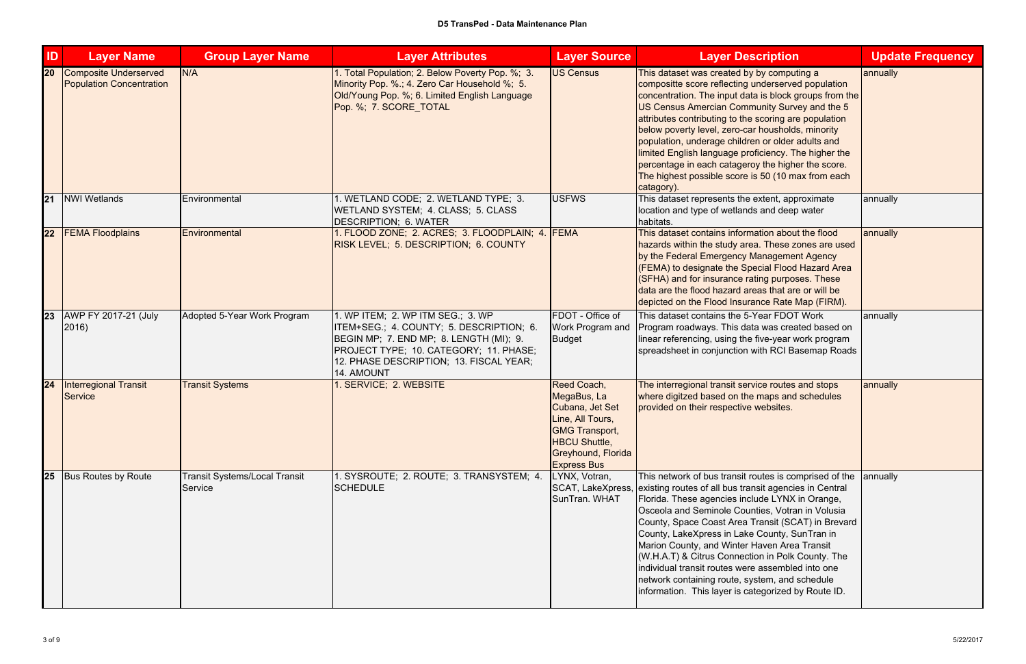| ID | <b>Layer Name</b>                                               | <b>Group Layer Name</b>                         | <b>Layer Attributes</b>                                                                                                                                                                                                     | <b>Layer Source</b>                                                                                                                                                   | <b>Layer Description</b>                                                                                                                                                                                                                                                                                                                                                                                                                                                                                                                                                                                            | <b>Update Frequency</b> |
|----|-----------------------------------------------------------------|-------------------------------------------------|-----------------------------------------------------------------------------------------------------------------------------------------------------------------------------------------------------------------------------|-----------------------------------------------------------------------------------------------------------------------------------------------------------------------|---------------------------------------------------------------------------------------------------------------------------------------------------------------------------------------------------------------------------------------------------------------------------------------------------------------------------------------------------------------------------------------------------------------------------------------------------------------------------------------------------------------------------------------------------------------------------------------------------------------------|-------------------------|
| 20 | <b>Composite Underserved</b><br><b>Population Concentration</b> | N/A                                             | 1. Total Population; 2. Below Poverty Pop. %; 3.<br>Minority Pop. %.; 4. Zero Car Household %; 5.<br>Old/Young Pop. %; 6. Limited English Language<br>Pop. %; 7. SCORE_TOTAL                                                | <b>US Census</b>                                                                                                                                                      | This dataset was created by by computing a<br>compositte score reflecting underserved population<br>concentration. The input data is block groups from the<br>US Census Amercian Community Survey and the 5<br>attributes contributing to the scoring are population<br>below poverty level, zero-car housholds, minority<br>population, underage children or older adults and<br>limited English language proficiency. The higher the<br>percentage in each catageroy the higher the score.<br>The highest possible score is 50 (10 max from each<br>catagory).                                                    | annually                |
| 21 | <b>NWI Wetlands</b>                                             | Environmental                                   | I. WETLAND CODE; 2. WETLAND TYPE; 3.<br>WETLAND SYSTEM; 4. CLASS; 5. CLASS<br>DESCRIPTION; 6. WATER                                                                                                                         | <b>USFWS</b>                                                                                                                                                          | This dataset represents the extent, approximate<br>location and type of wetlands and deep water<br>habitats.                                                                                                                                                                                                                                                                                                                                                                                                                                                                                                        | annually                |
| 22 | <b>FEMA Floodplains</b>                                         | Environmental                                   | 1. FLOOD ZONE;  2. ACRES;  3. FLOODPLAIN;  4. FEMA<br>RISK LEVEL; 5. DESCRIPTION; 6. COUNTY                                                                                                                                 |                                                                                                                                                                       | This dataset contains information about the flood<br>hazards within the study area. These zones are used<br>by the Federal Emergency Management Agency<br>(FEMA) to designate the Special Flood Hazard Area<br>(SFHA) and for insurance rating purposes. These<br>data are the flood hazard areas that are or will be<br>depicted on the Flood Insurance Rate Map (FIRM).                                                                                                                                                                                                                                           | annually                |
| 23 | AWP FY 2017-21 (July<br>$ 2016\rangle$                          | Adopted 5-Year Work Program                     | 1. WP ITEM; 2. WP ITM SEG.; 3. WP<br>ITEM+SEG.; 4. COUNTY; 5. DESCRIPTION; 6.<br>BEGIN MP; 7. END MP; 8. LENGTH (MI); 9.<br>PROJECT TYPE; 10. CATEGORY; 11. PHASE;<br>12. PHASE DESCRIPTION; 13. FISCAL YEAR;<br>14. AMOUNT | FDOT - Office of<br>Work Program and<br><b>Budget</b>                                                                                                                 | This dataset contains the 5-Year FDOT Work<br>Program roadways. This data was created based on<br>linear referencing, using the five-year work program<br>spreadsheet in conjunction with RCI Basemap Roads                                                                                                                                                                                                                                                                                                                                                                                                         | annually                |
| 24 | <b>Interregional Transit</b><br>Service                         | <b>Transit Systems</b>                          | . SERVICE; 2. WEBSITE                                                                                                                                                                                                       | Reed Coach,<br>MegaBus, La<br>Cubana, Jet Set<br>Line, All Tours,<br><b>GMG Transport,</b><br><b>HBCU Shuttle,</b><br><b>Greyhound, Florida</b><br><b>Express Bus</b> | The interregional transit service routes and stops<br>where digitzed based on the maps and schedules<br>provided on their respective websites.                                                                                                                                                                                                                                                                                                                                                                                                                                                                      | annually                |
| 25 | <b>Bus Routes by Route</b>                                      | <b>Transit Systems/Local Transit</b><br>Service | SYSROUTE; 2. ROUTE; 3. TRANSYSTEM; 4.<br><b>SCHEDULE</b>                                                                                                                                                                    | LYNX, Votran,<br>SunTran. WHAT                                                                                                                                        | This network of bus transit routes is comprised of the<br>SCAT, LakeXpress, existing routes of all bus transit agencies in Central<br>Florida. These agencies include LYNX in Orange,<br>Osceola and Seminole Counties, Votran in Volusia<br>County, Space Coast Area Transit (SCAT) in Brevard<br>County, LakeXpress in Lake County, SunTran in<br>Marion County, and Winter Haven Area Transit<br>(W.H.A.T) & Citrus Connection in Polk County. The<br>individual transit routes were assembled into one<br>network containing route, system, and schedule<br>information. This layer is categorized by Route ID. | annually                |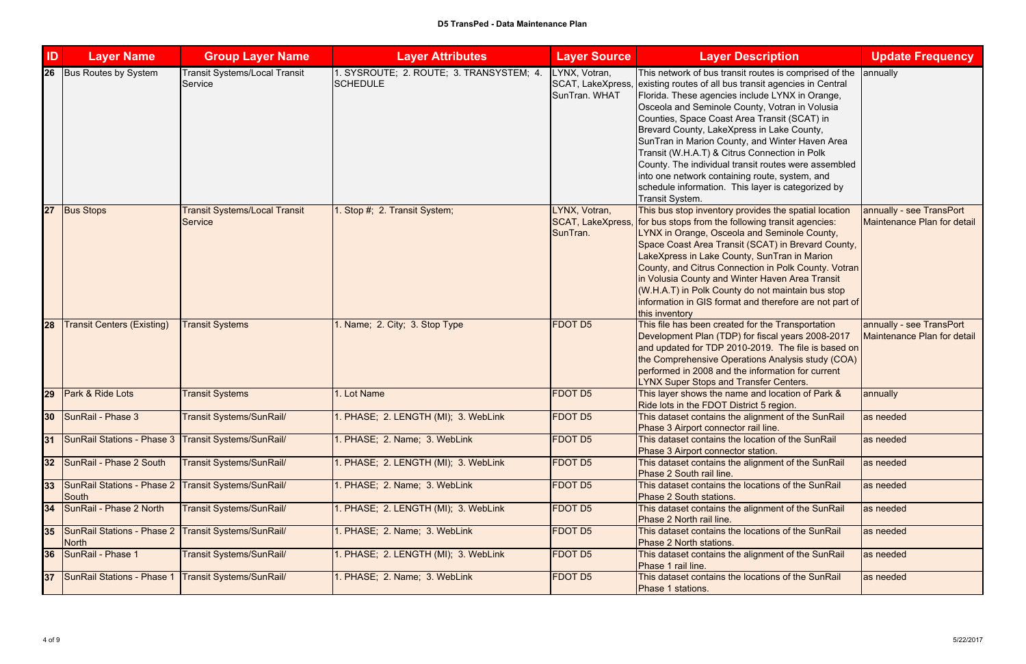| ID | <b>Layer Name</b>                      | <b>Group Layer Name</b>                                | <b>Layer Attributes</b>                                     | <b>Layer Source</b>            | <b>Layer Description</b>                                                                                                                                                                                                                                                                                                                                                                                                                                                                                                                                                                                                            | <b>Update Frequency</b>                                 |
|----|----------------------------------------|--------------------------------------------------------|-------------------------------------------------------------|--------------------------------|-------------------------------------------------------------------------------------------------------------------------------------------------------------------------------------------------------------------------------------------------------------------------------------------------------------------------------------------------------------------------------------------------------------------------------------------------------------------------------------------------------------------------------------------------------------------------------------------------------------------------------------|---------------------------------------------------------|
| 26 | <b>Bus Routes by System</b>            | <b>Transit Systems/Local Transit</b><br>Service        | 1. SYSROUTE; 2. ROUTE; 3. TRANSYSTEM; 4.<br><b>SCHEDULE</b> | LYNX, Votran,<br>SunTran. WHAT | This network of bus transit routes is comprised of the<br>SCAT, LakeXpress, existing routes of all bus transit agencies in Central<br>Florida. These agencies include LYNX in Orange,<br>Osceola and Seminole County, Votran in Volusia<br>Counties, Space Coast Area Transit (SCAT) in<br>Brevard County, LakeXpress in Lake County,<br>SunTran in Marion County, and Winter Haven Area<br>Transit (W.H.A.T) & Citrus Connection in Polk<br>County. The individual transit routes were assembled<br>into one network containing route, system, and<br>schedule information. This layer is categorized by<br><b>Transit System.</b> | annually                                                |
| 27 | <b>Bus Stops</b>                       | <b>Transit Systems/Local Transit</b><br><b>Service</b> | . Stop #; 2. Transit System;                                | LYNX, Votran,<br>SunTran.      | This bus stop inventory provides the spatial location<br>SCAT, LakeXpress, for bus stops from the following transit agencies:<br>LYNX in Orange, Osceola and Seminole County,<br>Space Coast Area Transit (SCAT) in Brevard County,<br>LakeXpress in Lake County, SunTran in Marion<br>County, and Citrus Connection in Polk County. Votran<br>in Volusia County and Winter Haven Area Transit<br>(W.H.A.T) in Polk County do not maintain bus stop<br>information in GIS format and therefore are not part of<br>this inventory                                                                                                    | annually - see TransPort<br>Maintenance Plan for detail |
| 28 | <b>Transit Centers (Existing)</b>      | <b>Transit Systems</b>                                 | . Name; 2. City; 3. Stop Type                               | <b>FDOT D5</b>                 | This file has been created for the Transportation<br>Development Plan (TDP) for fiscal years 2008-2017<br>and updated for TDP 2010-2019. The file is based on<br>the Comprehensive Operations Analysis study (COA)<br>performed in 2008 and the information for current<br><b>LYNX Super Stops and Transfer Centers.</b>                                                                                                                                                                                                                                                                                                            | annually - see TransPort<br>Maintenance Plan for detail |
| 29 | Park & Ride Lots                       | <b>Transit Systems</b>                                 | . Lot Name                                                  | <b>FDOT D5</b>                 | This layer shows the name and location of Park &<br>Ride lots in the FDOT District 5 region.                                                                                                                                                                                                                                                                                                                                                                                                                                                                                                                                        | annually                                                |
|    | 30 SunRail - Phase 3                   | <b>Transit Systems/SunRail/</b>                        | PHASE; 2. LENGTH (MI); 3. WebLink                           | <b>FDOT D5</b>                 | This dataset contains the alignment of the SunRail<br>Phase 3 Airport connector rail line.                                                                                                                                                                                                                                                                                                                                                                                                                                                                                                                                          | as needed                                               |
| 31 | SunRail Stations - Phase 3             | <b>Fransit Systems/SunRail/</b>                        | PHASE; 2. Name; 3. WebLink                                  | <b>FDOT D5</b>                 | This dataset contains the location of the SunRail<br>Phase 3 Airport connector station.                                                                                                                                                                                                                                                                                                                                                                                                                                                                                                                                             | as needed                                               |
|    | 32   SunRail - Phase 2 South           | <b>Transit Systems/SunRail/</b>                        | PHASE; 2. LENGTH (MI); 3. WebLink                           | FDOT D5                        | This dataset contains the alignment of the SunRail<br>Phase 2 South rail line.                                                                                                                                                                                                                                                                                                                                                                                                                                                                                                                                                      | as needed                                               |
| 33 | SunRail Stations - Phase 2<br>South    | Transit Systems/SunRail/                               | PHASE; 2. Name; 3. WebLink                                  | FDOT D5                        | This dataset contains the locations of the SunRail<br>Phase 2 South stations.                                                                                                                                                                                                                                                                                                                                                                                                                                                                                                                                                       | as needed                                               |
| 34 | SunRail - Phase 2 North                | <b>Transit Systems/SunRail/</b>                        | PHASE; 2. LENGTH (MI); 3. WebLink                           | <b>FDOT D5</b>                 | This dataset contains the alignment of the SunRail<br>Phase 2 North rail line.                                                                                                                                                                                                                                                                                                                                                                                                                                                                                                                                                      | as needed                                               |
|    | 35 SunRail Stations - Phase 2<br>North | <b>Transit Systems/SunRail/</b>                        | PHASE; 2. Name; 3. WebLink                                  | FDOT D5                        | This dataset contains the locations of the SunRail<br>Phase 2 North stations.                                                                                                                                                                                                                                                                                                                                                                                                                                                                                                                                                       | as needed                                               |
|    | 36   SunRail - Phase 1                 | <b>Transit Systems/SunRail/</b>                        | PHASE; 2. LENGTH (MI); 3. WebLink                           | FDOT D5                        | This dataset contains the alignment of the SunRail<br>Phase 1 rail line.                                                                                                                                                                                                                                                                                                                                                                                                                                                                                                                                                            | as needed                                               |
| 37 | SunRail Stations - Phase 1             | <b>Transit Systems/SunRail/</b>                        | PHASE; 2. Name; 3. WebLink                                  | <b>FDOT D5</b>                 | This dataset contains the locations of the SunRail<br>Phase 1 stations.                                                                                                                                                                                                                                                                                                                                                                                                                                                                                                                                                             | as needed                                               |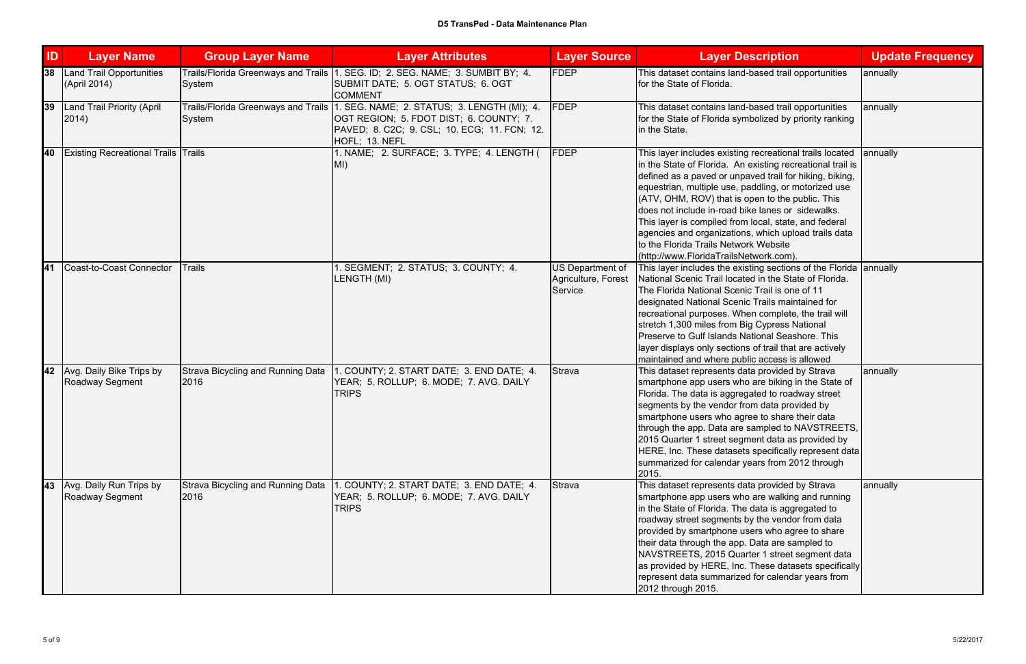| ID | <b>Layer Name</b>                               | <b>Group Layer Name</b>                   | <b>Layer Attributes</b>                                                                                                                                                                      | <b>Layer Source</b>                                | <b>Layer Description</b>                                                                                                                                                                                                                                                                                                                                                                                                                                                                                                                               | <b>Update Frequency</b> |
|----|-------------------------------------------------|-------------------------------------------|----------------------------------------------------------------------------------------------------------------------------------------------------------------------------------------------|----------------------------------------------------|--------------------------------------------------------------------------------------------------------------------------------------------------------------------------------------------------------------------------------------------------------------------------------------------------------------------------------------------------------------------------------------------------------------------------------------------------------------------------------------------------------------------------------------------------------|-------------------------|
| 38 | <b>Land Trail Opportunities</b><br>(April 2014) | System                                    | Trails/Florida Greenways and Trails  1. SEG. ID; 2. SEG. NAME; 3. SUMBIT BY; 4.<br>SUBMIT DATE; 5. OGT STATUS; 6. OGT<br><b>COMMENT</b>                                                      | <b>FDEP</b>                                        | This dataset contains land-based trail opportunities<br>for the State of Florida.                                                                                                                                                                                                                                                                                                                                                                                                                                                                      | annually                |
| 39 | Land Trail Priority (April<br>2014)             | System                                    | Trails/Florida Greenways and Trails 1. SEG. NAME; 2. STATUS; 3. LENGTH (MI); 4.<br>OGT REGION; 5. FDOT DIST; 6. COUNTY; 7.<br>PAVED; 8. C2C; 9. CSL; 10. ECG; 11. FCN; 12.<br>HOFL; 13. NEFL | <b>FDEP</b>                                        | This dataset contains land-based trail opportunities<br>for the State of Florida symbolized by priority ranking<br>in the State.                                                                                                                                                                                                                                                                                                                                                                                                                       | annually                |
| 40 | <b>Existing Recreational Trails Trails</b>      |                                           | 1. NAME; 2. SURFACE; 3. TYPE; 4. LENGTH (<br>MI)                                                                                                                                             | FDEP                                               | This layer includes existing recreational trails located<br>in the State of Florida. An existing recreational trail is<br>defined as a paved or unpaved trail for hiking, biking,<br>equestrian, multiple use, paddling, or motorized use<br>(ATV, OHM, ROV) that is open to the public. This<br>does not include in-road bike lanes or sidewalks.<br>This layer is compiled from local, state, and federal<br>agencies and organizations, which upload trails data<br>to the Florida Trails Network Website<br>(http://www.FloridaTrailsNetwork.com). | annually                |
| 41 | Coast-to-Coast Connector                        | <b>Trails</b>                             | 1. SEGMENT; 2. STATUS; 3. COUNTY; 4.<br>LENGTH (MI)                                                                                                                                          | US Department of<br>Agriculture, Forest<br>Service | This layer includes the existing sections of the Florida annually<br>National Scenic Trail located in the State of Florida.<br>The Florida National Scenic Trail is one of 11<br>designated National Scenic Trails maintained for<br>recreational purposes. When complete, the trail will<br>stretch 1,300 miles from Big Cypress National<br>Preserve to Gulf Islands National Seashore. This<br>layer displays only sections of trail that are actively<br>maintained and where public access is allowed                                             |                         |
| 42 | Avg. Daily Bike Trips by<br>Roadway Segment     | Strava Bicycling and Running Data<br>2016 | COUNTY; 2. START DATE; 3. END DATE; 4.<br>YEAR; 5. ROLLUP; 6. MODE; 7. AVG. DAILY<br><b>TRIPS</b>                                                                                            | Strava                                             | This dataset represents data provided by Strava<br>smartphone app users who are biking in the State of<br>Florida. The data is aggregated to roadway street<br>segments by the vendor from data provided by<br>smartphone users who agree to share their data<br>through the app. Data are sampled to NAVSTREETS,<br>2015 Quarter 1 street segment data as provided by<br>HERE, Inc. These datasets specifically represent data<br>summarized for calendar years from 2012 through<br>2015.                                                            | annually                |
| 43 | Avg. Daily Run Trips by<br>Roadway Segment      | Strava Bicycling and Running Data<br>2016 | COUNTY; 2. START DATE; 3. END DATE; 4.<br>YEAR; 5. ROLLUP; 6. MODE; 7. AVG. DAILY<br><b>TRIPS</b>                                                                                            | Strava                                             | This dataset represents data provided by Strava<br>smartphone app users who are walking and running<br>in the State of Florida. The data is aggregated to<br>roadway street segments by the vendor from data<br>provided by smartphone users who agree to share<br>their data through the app. Data are sampled to<br>NAVSTREETS, 2015 Quarter 1 street segment data<br>as provided by HERE, Inc. These datasets specifically<br>represent data summarized for calendar years from<br>2012 through 2015.                                               | annually                |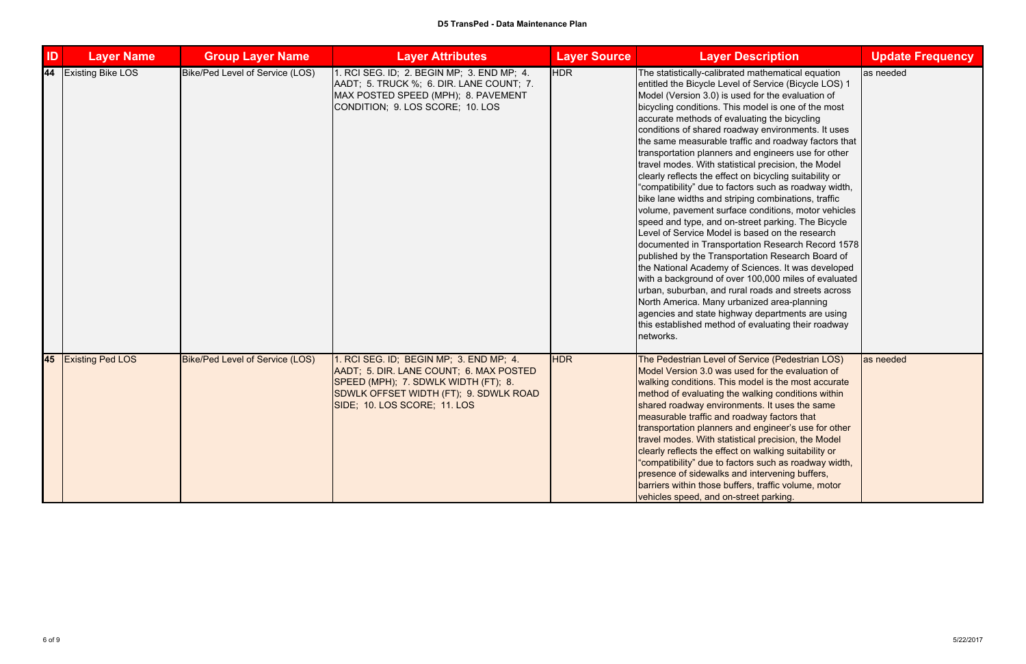| ID | <b>Layer Name</b>        | <b>Group Layer Name</b>                | <b>Layer Attributes</b>                                                                                                                                                                              | <b>Layer Source</b> | <b>Layer Description</b>                                                                                                                                                                                                                                                                                                                                                                                                                                                                                                                                                                                                                                                                                                                                                                                                                                                                                                                                                                                                                                                                                                                                                                                                                                                                             | <b>Update Frequency</b> |
|----|--------------------------|----------------------------------------|------------------------------------------------------------------------------------------------------------------------------------------------------------------------------------------------------|---------------------|------------------------------------------------------------------------------------------------------------------------------------------------------------------------------------------------------------------------------------------------------------------------------------------------------------------------------------------------------------------------------------------------------------------------------------------------------------------------------------------------------------------------------------------------------------------------------------------------------------------------------------------------------------------------------------------------------------------------------------------------------------------------------------------------------------------------------------------------------------------------------------------------------------------------------------------------------------------------------------------------------------------------------------------------------------------------------------------------------------------------------------------------------------------------------------------------------------------------------------------------------------------------------------------------------|-------------------------|
| 44 | <b>Existing Bike LOS</b> | Bike/Ped Level of Service (LOS)        | . RCI SEG. ID; 2. BEGIN MP; 3. END MP; 4.<br>AADT; 5. TRUCK %; 6. DIR. LANE COUNT; 7.<br>MAX POSTED SPEED (MPH); 8. PAVEMENT<br>CONDITION; 9. LOS SCORE; 10. LOS                                     | <b>HDR</b>          | The statistically-calibrated mathematical equation<br>entitled the Bicycle Level of Service (Bicycle LOS) 1<br>Model (Version 3.0) is used for the evaluation of<br>bicycling conditions. This model is one of the most<br>accurate methods of evaluating the bicycling<br>conditions of shared roadway environments. It uses<br>the same measurable traffic and roadway factors that<br>transportation planners and engineers use for other<br>travel modes. With statistical precision, the Model<br>clearly reflects the effect on bicycling suitability or<br>"compatibility" due to factors such as roadway width,<br>bike lane widths and striping combinations, traffic<br>volume, pavement surface conditions, motor vehicles<br>speed and type, and on-street parking. The Bicycle<br>Level of Service Model is based on the research<br>documented in Transportation Research Record 1578<br>published by the Transportation Research Board of<br>the National Academy of Sciences. It was developed<br>with a background of over 100,000 miles of evaluated<br>urban, suburban, and rural roads and streets across<br>North America. Many urbanized area-planning<br>agencies and state highway departments are using<br>this established method of evaluating their roadway<br>networks. | as needed               |
| 45 | <b>Existing Ped LOS</b>  | <b>Bike/Ped Level of Service (LOS)</b> | I. RCI SEG. ID; BEGIN MP; 3. END MP; 4.<br>AADT; 5. DIR. LANE COUNT; 6. MAX POSTED<br>SPEED (MPH); 7. SDWLK WIDTH (FT); 8.<br>SDWLK OFFSET WIDTH (FT); 9. SDWLK ROAD<br>SIDE; 10. LOS SCORE; 11. LOS | <b>HDR</b>          | The Pedestrian Level of Service (Pedestrian LOS)<br>Model Version 3.0 was used for the evaluation of<br>walking conditions. This model is the most accurate<br>method of evaluating the walking conditions within<br>shared roadway environments. It uses the same<br>measurable traffic and roadway factors that<br>transportation planners and engineer's use for other<br>travel modes. With statistical precision, the Model<br>clearly reflects the effect on walking suitability or<br>"compatibility" due to factors such as roadway width,<br>presence of sidewalks and intervening buffers,<br>barriers within those buffers, traffic volume, motor<br>vehicles speed, and on-street parking.                                                                                                                                                                                                                                                                                                                                                                                                                                                                                                                                                                                               | as needed               |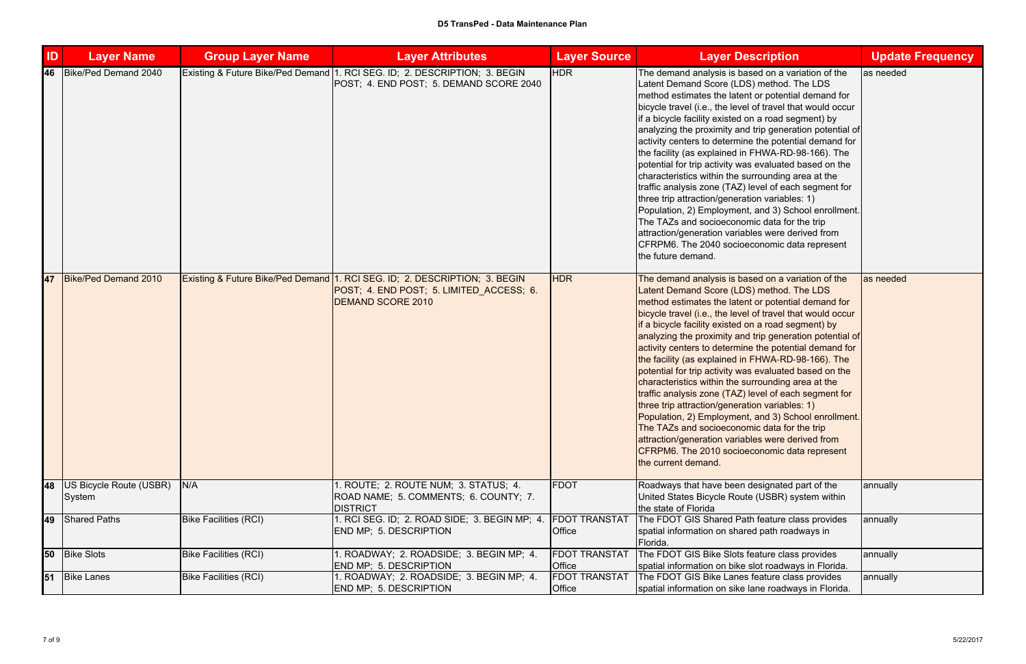| ID | <b>Layer Name</b>                 | <b>Group Layer Name</b>      | <b>Layer Attributes</b>                                                                                                                            | <b>Layer Source</b>            | <b>Layer Description</b>                                                                                                                                                                                                                                                                                                                                                                                                                                                                                                                                                                                                                                                                                                                                                                                                                                                                                                | <b>Update Frequency</b> |
|----|-----------------------------------|------------------------------|----------------------------------------------------------------------------------------------------------------------------------------------------|--------------------------------|-------------------------------------------------------------------------------------------------------------------------------------------------------------------------------------------------------------------------------------------------------------------------------------------------------------------------------------------------------------------------------------------------------------------------------------------------------------------------------------------------------------------------------------------------------------------------------------------------------------------------------------------------------------------------------------------------------------------------------------------------------------------------------------------------------------------------------------------------------------------------------------------------------------------------|-------------------------|
| 46 | Bike/Ped Demand 2040              |                              | Existing & Future Bike/Ped Demand 1. RCI SEG. ID; 2. DESCRIPTION; 3. BEGIN<br>POST; 4. END POST; 5. DEMAND SCORE 2040                              | <b>HDR</b>                     | The demand analysis is based on a variation of the<br>Latent Demand Score (LDS) method. The LDS<br>method estimates the latent or potential demand for<br>bicycle travel (i.e., the level of travel that would occur<br>If a bicycle facility existed on a road segment) by<br>analyzing the proximity and trip generation potential of<br>activity centers to determine the potential demand for<br>the facility (as explained in FHWA-RD-98-166). The<br>potential for trip activity was evaluated based on the<br>characteristics within the surrounding area at the<br>traffic analysis zone (TAZ) level of each segment for<br>three trip attraction/generation variables: 1)<br>Population, 2) Employment, and 3) School enrollment.<br>The TAZs and socioeconomic data for the trip<br>attraction/generation variables were derived from<br>CFRPM6. The 2040 socioeconomic data represent<br>the future demand.  | as needed               |
| 47 | Bike/Ped Demand 2010              |                              | Existing & Future Bike/Ped Demand 1. RCI SEG. ID; 2. DESCRIPTION; 3. BEGIN<br>POST; 4. END POST; 5. LIMITED ACCESS; 6.<br><b>DEMAND SCORE 2010</b> | <b>HDR</b>                     | The demand analysis is based on a variation of the<br>Latent Demand Score (LDS) method. The LDS<br>method estimates the latent or potential demand for<br>bicycle travel (i.e., the level of travel that would occur<br>if a bicycle facility existed on a road segment) by<br>analyzing the proximity and trip generation potential of<br>activity centers to determine the potential demand for<br>the facility (as explained in FHWA-RD-98-166). The<br>potential for trip activity was evaluated based on the<br>characteristics within the surrounding area at the<br>traffic analysis zone (TAZ) level of each segment for<br>three trip attraction/generation variables: 1)<br>Population, 2) Employment, and 3) School enrollment.<br>The TAZs and socioeconomic data for the trip<br>attraction/generation variables were derived from<br>CFRPM6. The 2010 socioeconomic data represent<br>the current demand. | as needed               |
| 48 | US Bicycle Route (USBR)<br>System | N/A                          | 1. ROUTE; 2. ROUTE NUM; 3. STATUS; 4.<br>ROAD NAME; 5. COMMENTS; 6. COUNTY; 7.<br><b>DISTRICT</b>                                                  | <b>FDOT</b>                    | Roadways that have been designated part of the<br>United States Bicycle Route (USBR) system within<br>the state of Florida                                                                                                                                                                                                                                                                                                                                                                                                                                                                                                                                                                                                                                                                                                                                                                                              | annually                |
| 49 | <b>Shared Paths</b>               | Bike Facilities (RCI)        | . RCI SEG. ID; 2. ROAD SIDE; 3. BEGIN MP; 4.<br>END MP; 5. DESCRIPTION                                                                             | <b>FDOT TRANSTAT</b><br>Office | The FDOT GIS Shared Path feature class provides<br>spatial information on shared path roadways in<br>Florida.                                                                                                                                                                                                                                                                                                                                                                                                                                                                                                                                                                                                                                                                                                                                                                                                           | annually                |
| 50 | <b>Bike Slots</b>                 | <b>Bike Facilities (RCI)</b> | ROADWAY; 2. ROADSIDE; 3. BEGIN MP; 4.<br>END MP; 5. DESCRIPTION                                                                                    | <b>FDOT TRANSTAT</b><br>Office | The FDOT GIS Bike Slots feature class provides<br>spatial information on bike slot roadways in Florida.                                                                                                                                                                                                                                                                                                                                                                                                                                                                                                                                                                                                                                                                                                                                                                                                                 | annually                |
| 51 | <b>Bike Lanes</b>                 | <b>Bike Facilities (RCI)</b> | . ROADWAY; 2. ROADSIDE; 3. BEGIN MP; 4.<br>END MP; 5. DESCRIPTION                                                                                  | FDOT TRANSTAT<br>Office        | The FDOT GIS Bike Lanes feature class provides<br>spatial information on sike lane roadways in Florida.                                                                                                                                                                                                                                                                                                                                                                                                                                                                                                                                                                                                                                                                                                                                                                                                                 | annually                |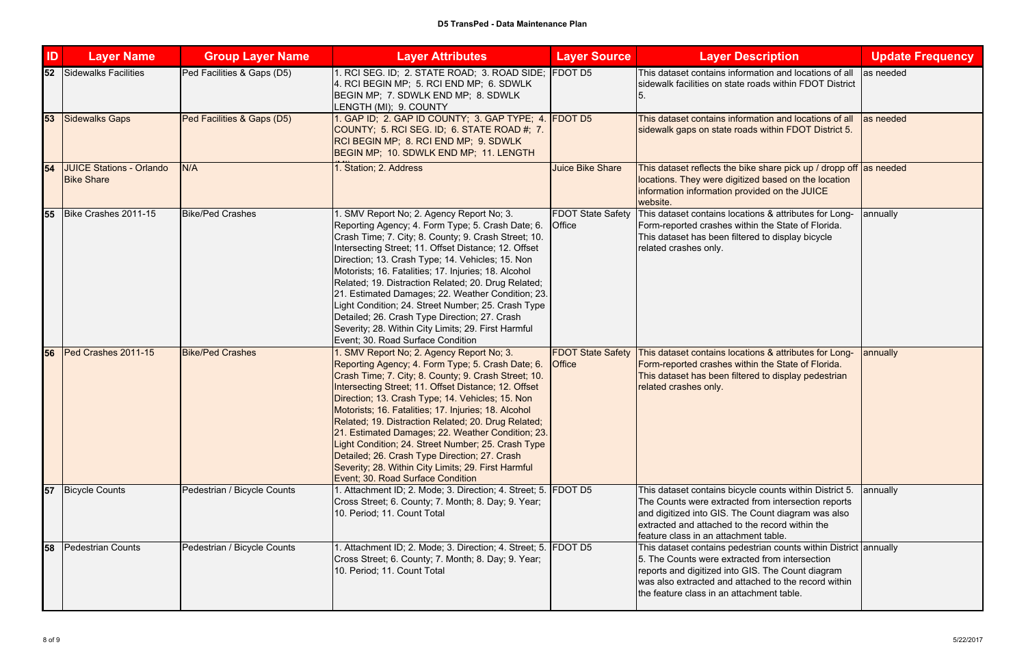| ID | <b>Layer Name</b>                                    | <b>Group Layer Name</b>     | <b>Layer Attributes</b>                                                                                                                                                                                                                                                                                                                                                                                                                                                                                                                                                                                                                | <b>Layer Source</b>                | <b>Layer Description</b>                                                                                                                                                                                                                                                     | <b>Update Frequency</b> |
|----|------------------------------------------------------|-----------------------------|----------------------------------------------------------------------------------------------------------------------------------------------------------------------------------------------------------------------------------------------------------------------------------------------------------------------------------------------------------------------------------------------------------------------------------------------------------------------------------------------------------------------------------------------------------------------------------------------------------------------------------------|------------------------------------|------------------------------------------------------------------------------------------------------------------------------------------------------------------------------------------------------------------------------------------------------------------------------|-------------------------|
| 52 | <b>Sidewalks Facilities</b>                          | Ped Facilities & Gaps (D5)  | RCI SEG. ID; 2. STATE ROAD; 3. ROAD SIDE;<br>4. RCI BEGIN MP; 5. RCI END MP; 6. SDWLK<br>BEGIN MP; 7. SDWLK END MP; 8. SDWLK<br>LENGTH (MI); 9. COUNTY                                                                                                                                                                                                                                                                                                                                                                                                                                                                                 | FDOT D5                            | This dataset contains information and locations of all<br>sidewalk facilities on state roads within FDOT District                                                                                                                                                            | as needed               |
| 53 | Sidewalks Gaps                                       | Ped Facilities & Gaps (D5)  | GAP ID; 2. GAP ID COUNTY; 3. GAP TYPE; 4. FDOT D5<br>COUNTY; 5. RCI SEG. ID; 6. STATE ROAD #; 7.<br>RCI BEGIN MP; 8. RCI END MP; 9. SDWLK<br>BEGIN MP; 10. SDWLK END MP; 11. LENGTH                                                                                                                                                                                                                                                                                                                                                                                                                                                    |                                    | This dataset contains information and locations of all<br>sidewalk gaps on state roads within FDOT District 5.                                                                                                                                                               | as needed               |
| 54 | <b>JUICE Stations - Orlando</b><br><b>Bike Share</b> | N/A                         | Station; 2. Address                                                                                                                                                                                                                                                                                                                                                                                                                                                                                                                                                                                                                    | <b>Juice Bike Share</b>            | This dataset reflects the bike share pick up / dropp off $ $ as needed<br>locations. They were digitized based on the location<br>information information provided on the JUICE<br>website.                                                                                  |                         |
|    | 55 Bike Crashes 2011-15                              | <b>Bike/Ped Crashes</b>     | SMV Report No; 2. Agency Report No; 3.<br>Reporting Agency; 4. Form Type; 5. Crash Date; 6.<br>Crash Time; 7. City; 8. County; 9. Crash Street; 10.<br>Intersecting Street; 11. Offset Distance; 12. Offset<br>Direction; 13. Crash Type; 14. Vehicles; 15. Non<br>Motorists; 16. Fatalities; 17. Injuries; 18. Alcohol<br>Related; 19. Distraction Related; 20. Drug Related;<br>21. Estimated Damages; 22. Weather Condition; 23.<br>Light Condition; 24. Street Number; 25. Crash Type<br>Detailed; 26. Crash Type Direction; 27. Crash<br>Severity; 28. Within City Limits; 29. First Harmful<br>Event; 30. Road Surface Condition | <b>FDOT State Safety</b><br>Office | This dataset contains locations & attributes for Long-<br>Form-reported crashes within the State of Florida.<br>This dataset has been filtered to display bicycle<br>related crashes only.                                                                                   | annually                |
| 56 | Ped Crashes 2011-15                                  | <b>Bike/Ped Crashes</b>     | SMV Report No; 2. Agency Report No; 3.<br>Reporting Agency; 4. Form Type; 5. Crash Date; 6.<br>Crash Time; 7. City; 8. County; 9. Crash Street; 10.<br>Intersecting Street; 11. Offset Distance; 12. Offset<br>Direction; 13. Crash Type; 14. Vehicles; 15. Non<br>Motorists; 16. Fatalities; 17. Injuries; 18. Alcohol<br>Related; 19. Distraction Related; 20. Drug Related;<br>21. Estimated Damages; 22. Weather Condition; 23.<br>Light Condition; 24. Street Number; 25. Crash Type<br>Detailed; 26. Crash Type Direction; 27. Crash<br>Severity; 28. Within City Limits; 29. First Harmful<br>Event; 30. Road Surface Condition | <b>FDOT State Safety</b><br>Office | This dataset contains locations & attributes for Long-<br>Form-reported crashes within the State of Florida.<br>This dataset has been filtered to display pedestrian<br>related crashes only.                                                                                | annually                |
|    | 57 Bicycle Counts                                    | Pedestrian / Bicycle Counts | . Attachment ID; 2. Mode; 3. Direction; 4. Street; 5.<br>Cross Street; 6. County; 7. Month; 8. Day; 9. Year;<br>10. Period; 11. Count Total                                                                                                                                                                                                                                                                                                                                                                                                                                                                                            | FDOT D5                            | This dataset contains bicycle counts within District 5.<br>The Counts were extracted from intersection reports<br>and digitized into GIS. The Count diagram was also<br>extracted and attached to the record within the<br>feature class in an attachment table.             | annually                |
| 58 | <b>Pedestrian Counts</b>                             | Pedestrian / Bicycle Counts | Attachment ID; 2. Mode; 3. Direction; 4. Street; 5.<br>Cross Street; 6. County; 7. Month; 8. Day; 9. Year;<br>10. Period; 11. Count Total                                                                                                                                                                                                                                                                                                                                                                                                                                                                                              | FDOT D5                            | This dataset contains pedestrian counts within District annually<br>5. The Counts were extracted from intersection<br>reports and digitized into GIS. The Count diagram<br>was also extracted and attached to the record within<br>the feature class in an attachment table. |                         |